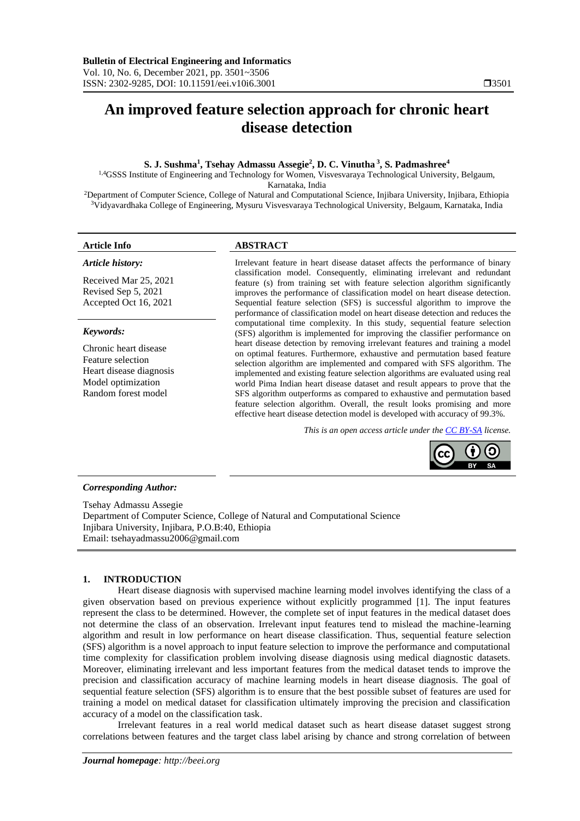# **An improved feature selection approach for chronic heart disease detection**

# **S. J. Sushma<sup>1</sup> , Tsehay Admassu Assegie<sup>2</sup> , D. C. Vinutha <sup>3</sup> , S. Padmashree<sup>4</sup>**

1,4GSSS Institute of Engineering and Technology for Women, Visvesvaraya Technological University, Belgaum, Karnataka, India

<sup>2</sup>Department of Computer Science, College of Natural and Computational Science, Injibara University, Injibara, Ethiopia <sup>3</sup>Vidyavardhaka College of Engineering, Mysuru Visvesvaraya Technological University, Belgaum, Karnataka, India

#### *Article history:*

Received Mar 25, 2021 Revised Sep 5, 2021 Accepted Oct 16, 2021

#### *Keywords:*

Chronic heart disease Feature selection Heart disease diagnosis Model optimization Random forest model

## **Article Info ABSTRACT**

Irrelevant feature in heart disease dataset affects the performance of binary classification model. Consequently, eliminating irrelevant and redundant feature (s) from training set with feature selection algorithm significantly improves the performance of classification model on heart disease detection. Sequential feature selection (SFS) is successful algorithm to improve the performance of classification model on heart disease detection and reduces the computational time complexity. In this study, sequential feature selection (SFS) algorithm is implemented for improving the classifier performance on heart disease detection by removing irrelevant features and training a model on optimal features. Furthermore, exhaustive and permutation based feature selection algorithm are implemented and compared with SFS algorithm. The implemented and existing feature selection algorithms are evaluated using real world Pima Indian heart disease dataset and result appears to prove that the SFS algorithm outperforms as compared to exhaustive and permutation based feature selection algorithm. Overall, the result looks promising and more effective heart disease detection model is developed with accuracy of 99.3%.

*This is an open access article under th[e CC BY-SA](https://creativecommons.org/licenses/by-sa/4.0/) license.*



### *Corresponding Author:*

Tsehay Admassu Assegie Department of Computer Science, College of Natural and Computational Science Injibara University, Injibara, P.O.B:40, Ethiopia Email: tsehayadmassu2006@gmail.com

# **1. INTRODUCTION**

Heart disease diagnosis with supervised machine learning model involves identifying the class of a given observation based on previous experience without explicitly programmed [1]. The input features represent the class to be determined. However, the complete set of input features in the medical dataset does not determine the class of an observation. Irrelevant input features tend to mislead the machine-learning algorithm and result in low performance on heart disease classification. Thus, sequential feature selection (SFS) algorithm is a novel approach to input feature selection to improve the performance and computational time complexity for classification problem involving disease diagnosis using medical diagnostic datasets. Moreover, eliminating irrelevant and less important features from the medical dataset tends to improve the precision and classification accuracy of machine learning models in heart disease diagnosis. The goal of sequential feature selection (SFS) algorithm is to ensure that the best possible subset of features are used for training a model on medical dataset for classification ultimately improving the precision and classification accuracy of a model on the classification task.

Irrelevant features in a real world medical dataset such as heart disease dataset suggest strong correlations between features and the target class label arising by chance and strong correlation of between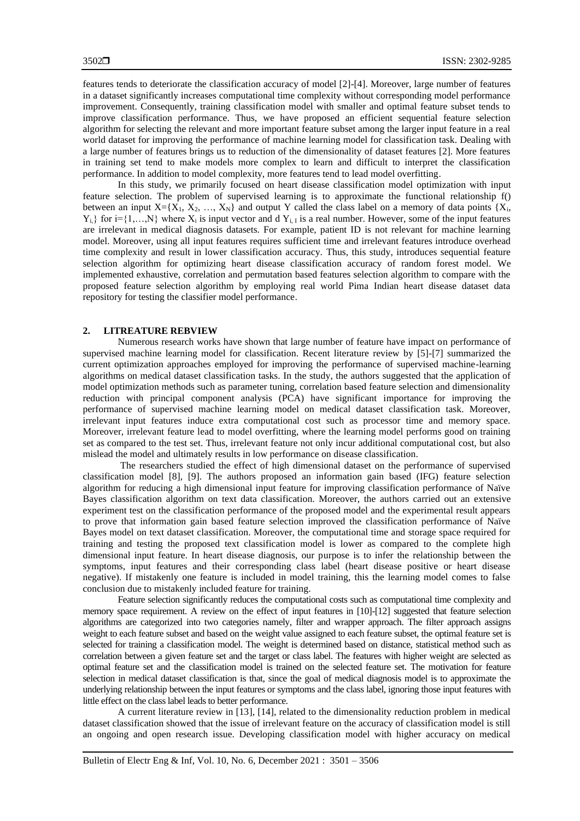features tends to deteriorate the classification accuracy of model [2]-[4]. Moreover, large number of features in a dataset significantly increases computational time complexity without corresponding model performance improvement. Consequently, training classification model with smaller and optimal feature subset tends to improve classification performance. Thus, we have proposed an efficient sequential feature selection algorithm for selecting the relevant and more important feature subset among the larger input feature in a real world dataset for improving the performance of machine learning model for classification task. Dealing with a large number of features brings us to reduction of the dimensionality of dataset features [2]. More features in training set tend to make models more complex to learn and difficult to interpret the classification performance. In addition to model complexity, more features tend to lead model overfitting.

In this study, we primarily focused on heart disease classification model optimization with input feature selection. The problem of supervised learning is to approximate the functional relationship f() between an input  $X=[X_1, X_2, ..., X_N]$  and output Y called the class label on a memory of data points {X<sub>i</sub>,  $Y_{i}$ } for i={1,...,N} where  $X_i$  is input vector and d  $Y_{i}$ , is a real number. However, some of the input features are irrelevant in medical diagnosis datasets. For example, patient ID is not relevant for machine learning model. Moreover, using all input features requires sufficient time and irrelevant features introduce overhead time complexity and result in lower classification accuracy. Thus, this study, introduces sequential feature selection algorithm for optimizing heart disease classification accuracy of random forest model. We implemented exhaustive, correlation and permutation based features selection algorithm to compare with the proposed feature selection algorithm by employing real world Pima Indian heart disease dataset data repository for testing the classifier model performance.

#### **2. LITREATURE REBVIEW**

Numerous research works have shown that large number of feature have impact on performance of supervised machine learning model for classification. Recent literature review by [5]-[7] summarized the current optimization approaches employed for improving the performance of supervised machine-learning algorithms on medical dataset classification tasks. In the study, the authors suggested that the application of model optimization methods such as parameter tuning, correlation based feature selection and dimensionality reduction with principal component analysis (PCA) have significant importance for improving the performance of supervised machine learning model on medical dataset classification task. Moreover, irrelevant input features induce extra computational cost such as processor time and memory space. Moreover, irrelevant feature lead to model overfitting, where the learning model performs good on training set as compared to the test set. Thus, irrelevant feature not only incur additional computational cost, but also mislead the model and ultimately results in low performance on disease classification.

The researchers studied the effect of high dimensional dataset on the performance of supervised classification model [8], [9]. The authors proposed an information gain based (IFG) feature selection algorithm for reducing a high dimensional input feature for improving classification performance of Naïve Bayes classification algorithm on text data classification. Moreover, the authors carried out an extensive experiment test on the classification performance of the proposed model and the experimental result appears to prove that information gain based feature selection improved the classification performance of Naïve Bayes model on text dataset classification. Moreover, the computational time and storage space required for training and testing the proposed text classification model is lower as compared to the complete high dimensional input feature. In heart disease diagnosis, our purpose is to infer the relationship between the symptoms, input features and their corresponding class label (heart disease positive or heart disease negative). If mistakenly one feature is included in model training, this the learning model comes to false conclusion due to mistakenly included feature for training.

Feature selection significantly reduces the computational costs such as computational time complexity and memory space requirement. A review on the effect of input features in [10]-[12] suggested that feature selection algorithms are categorized into two categories namely, filter and wrapper approach. The filter approach assigns weight to each feature subset and based on the weight value assigned to each feature subset, the optimal feature set is selected for training a classification model. The weight is determined based on distance, statistical method such as correlation between a given feature set and the target or class label. The features with higher weight are selected as optimal feature set and the classification model is trained on the selected feature set. The motivation for feature selection in medical dataset classification is that, since the goal of medical diagnosis model is to approximate the underlying relationship between the input features or symptoms and the class label, ignoring those input features with little effect on the class label leads to better performance.

A current literature review in [13], [14], related to the dimensionality reduction problem in medical dataset classification showed that the issue of irrelevant feature on the accuracy of classification model is still an ongoing and open research issue. Developing classification model with higher accuracy on medical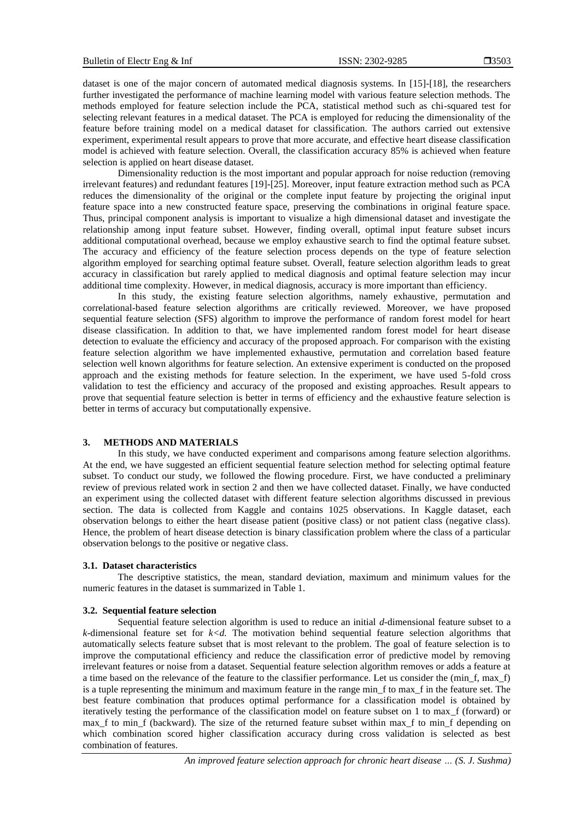dataset is one of the major concern of automated medical diagnosis systems. In [15]-[18], the researchers further investigated the performance of machine learning model with various feature selection methods. The methods employed for feature selection include the PCA, statistical method such as chi-squared test for selecting relevant features in a medical dataset. The PCA is employed for reducing the dimensionality of the feature before training model on a medical dataset for classification. The authors carried out extensive experiment, experimental result appears to prove that more accurate, and effective heart disease classification model is achieved with feature selection. Overall, the classification accuracy 85% is achieved when feature selection is applied on heart disease dataset.

Dimensionality reduction is the most important and popular approach for noise reduction (removing irrelevant features) and redundant features [19]-[25]. Moreover, input feature extraction method such as PCA reduces the dimensionality of the original or the complete input feature by projecting the original input feature space into a new constructed feature space, preserving the combinations in original feature space. Thus, principal component analysis is important to visualize a high dimensional dataset and investigate the relationship among input feature subset. However, finding overall, optimal input feature subset incurs additional computational overhead, because we employ exhaustive search to find the optimal feature subset. The accuracy and efficiency of the feature selection process depends on the type of feature selection algorithm employed for searching optimal feature subset. Overall, feature selection algorithm leads to great accuracy in classification but rarely applied to medical diagnosis and optimal feature selection may incur additional time complexity. However, in medical diagnosis, accuracy is more important than efficiency.

In this study, the existing feature selection algorithms, namely exhaustive, permutation and correlational-based feature selection algorithms are critically reviewed. Moreover, we have proposed sequential feature selection (SFS) algorithm to improve the performance of random forest model for heart disease classification. In addition to that, we have implemented random forest model for heart disease detection to evaluate the efficiency and accuracy of the proposed approach. For comparison with the existing feature selection algorithm we have implemented exhaustive, permutation and correlation based feature selection well known algorithms for feature selection. An extensive experiment is conducted on the proposed approach and the existing methods for feature selection. In the experiment, we have used 5-fold cross validation to test the efficiency and accuracy of the proposed and existing approaches. Result appears to prove that sequential feature selection is better in terms of efficiency and the exhaustive feature selection is better in terms of accuracy but computationally expensive.

## **3. METHODS AND MATERIALS**

In this study, we have conducted experiment and comparisons among feature selection algorithms. At the end, we have suggested an efficient sequential feature selection method for selecting optimal feature subset. To conduct our study, we followed the flowing procedure. First, we have conducted a preliminary review of previous related work in section 2 and then we have collected dataset. Finally, we have conducted an experiment using the collected dataset with different feature selection algorithms discussed in previous section. The data is collected from Kaggle and contains 1025 observations. In Kaggle dataset, each observation belongs to either the heart disease patient (positive class) or not patient class (negative class). Hence, the problem of heart disease detection is binary classification problem where the class of a particular observation belongs to the positive or negative class.

#### **3.1. Dataset characteristics**

The descriptive statistics, the mean, standard deviation, maximum and minimum values for the numeric features in the dataset is summarized in Table 1.

#### **3.2. Sequential feature selection**

Sequential feature selection algorithm is used to reduce an initial *d*-dimensional feature subset to a *k*-dimensional feature set for *k<d.* The motivation behind sequential feature selection algorithms that automatically selects feature subset that is most relevant to the problem. The goal of feature selection is to improve the computational efficiency and reduce the classification error of predictive model by removing irrelevant features or noise from a dataset. Sequential feature selection algorithm removes or adds a feature at a time based on the relevance of the feature to the classifier performance. Let us consider the (min\_f, max\_f) is a tuple representing the minimum and maximum feature in the range min\_f to max\_f in the feature set. The best feature combination that produces optimal performance for a classification model is obtained by iteratively testing the performance of the classification model on feature subset on 1 to max\_f (forward) or max\_f to min\_f (backward). The size of the returned feature subset within max\_f to min\_f depending on which combination scored higher classification accuracy during cross validation is selected as best combination of features.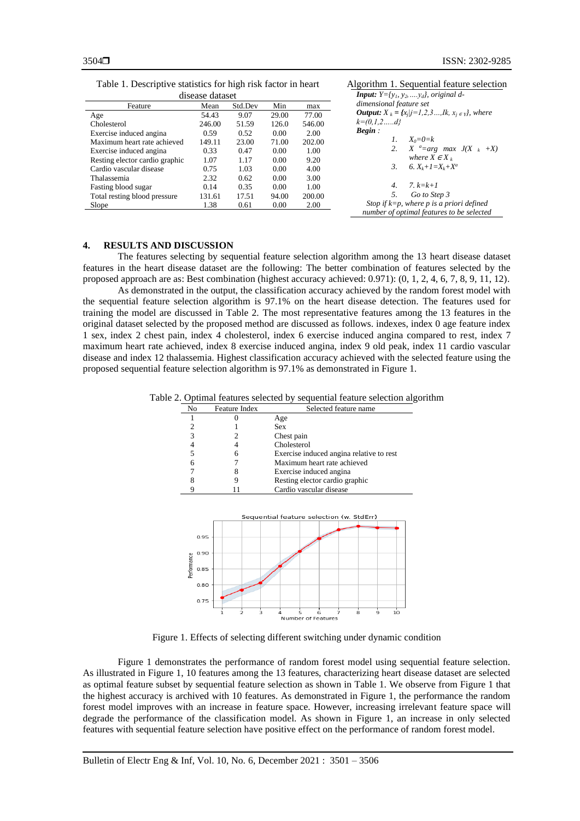|  | Table 1. Descriptive statistics for high risk factor in heart |  |  |  |  |
|--|---------------------------------------------------------------|--|--|--|--|
|  |                                                               |  |  |  |  |

| disease dataset                |        |         |       |        |  |
|--------------------------------|--------|---------|-------|--------|--|
| Feature                        | Mean   | Std.Dev | Min   | max    |  |
| Age                            | 54.43  | 9.07    | 29.00 | 77.00  |  |
| Cholesterol                    | 246.00 | 51.59   | 126.0 | 546.00 |  |
| Exercise induced angina        | 0.59   | 0.52    | 0.00  | 2.00   |  |
| Maximum heart rate achieved    | 149.11 | 23.00   | 71.00 | 202.00 |  |
| Exercise induced angina        | 0.33   | 0.47    | 0.00  | 1.00   |  |
| Resting elector cardio graphic | 1.07   | 1.17    | 0.00  | 9.20   |  |
| Cardio vascular disease        | 0.75   | 1.03    | 0.00  | 4.00   |  |
| Thalassemia                    | 2.32   | 0.62    | 0.00  | 3.00   |  |
| Fasting blood sugar            | 0.14   | 0.35    | 0.00  | 1.00   |  |
| Total resting blood pressure   | 131.61 | 17.51   | 94.00 | 200.00 |  |
| Slope                          | 1.38   | 0.61    | 0.00  | 2.00   |  |

Algorithm 1. Sequential feature selection  $I: Y = \{y_1, y_2, \ldots, y_d\}$ , original d*dimensional feature set*  $u_t: X_k = \{x_j | j = 1, 2, 3, \ldots, K, x_j \in Y\}$ , where *k=(0,1,2…..d} Begin : 1.*  $X_0 = 0 = k$ <br>2.  $X^a = ar$ *2. X <sup>a</sup>=arg max J(X <sup>k</sup> +X) where*  $\overline{X} \in X_k$ *3. 6. Xk+1=Xk+X<sup>a</sup> 4. 7. k=k+1 5. Go to Step 3 Stop if k=p, where p is a priori defined number of optimal features to be selected*

# **4. RESULTS AND DISCUSSION**

The features selecting by sequential feature selection algorithm among the 13 heart disease dataset features in the heart disease dataset are the following: The better combination of features selected by the proposed approach are as: Best combination (highest accuracy achieved: 0.971): (0, 1, 2, 4, 6, 7, 8, 9, 11, 12).

As demonstrated in the output, the classification accuracy achieved by the random forest model with the sequential feature selection algorithm is 97.1% on the heart disease detection. The features used for training the model are discussed in Table 2. The most representative features among the 13 features in the original dataset selected by the proposed method are discussed as follows. indexes, index 0 age feature index 1 sex, index 2 chest pain, index 4 cholesterol, index 6 exercise induced angina compared to rest, index 7 maximum heart rate achieved, index 8 exercise induced angina, index 9 old peak, index 11 cardio vascular disease and index 12 thalassemia. Highest classification accuracy achieved with the selected feature using the proposed sequential feature selection algorithm is 97.1% as demonstrated in Figure 1.

Table 2. Optimal features selected by sequential feature selection algorithm

| No                                                  | Feature Index            | Selected feature name                    |  |  |  |  |  |
|-----------------------------------------------------|--------------------------|------------------------------------------|--|--|--|--|--|
| 1                                                   |                          | Age                                      |  |  |  |  |  |
| 2                                                   |                          | <b>Sex</b>                               |  |  |  |  |  |
| 3                                                   | 2                        | Chest pain                               |  |  |  |  |  |
| $\overline{4}$                                      | 4                        | Cholesterol                              |  |  |  |  |  |
| 5                                                   | 6                        | Exercise induced angina relative to rest |  |  |  |  |  |
| 6                                                   |                          | Maximum heart rate achieved              |  |  |  |  |  |
| 7                                                   | 8                        | Exercise induced angina                  |  |  |  |  |  |
| 8                                                   | 9                        | Resting elector cardio graphic           |  |  |  |  |  |
| 9                                                   | 11                       | Cardio vascular disease                  |  |  |  |  |  |
| 0.95<br>0.90<br>Performance<br>0.85<br>0.80<br>0.75 |                          | Sequential feature selection (w. StdErr) |  |  |  |  |  |
|                                                     | $\overline{2}$<br>з<br>ı | 5<br>8<br>9<br>10<br>6                   |  |  |  |  |  |
|                                                     |                          | Number of Features                       |  |  |  |  |  |

Figure 1. Effects of selecting different switching under dynamic condition

Figure 1 demonstrates the performance of random forest model using sequential feature selection. As illustrated in Figure 1, 10 features among the 13 features, characterizing heart disease dataset are selected as optimal feature subset by sequential feature selection as shown in Table 1. We observe from Figure 1 that the highest accuracy is archived with 10 features. As demonstrated in Figure 1, the performance the random forest model improves with an increase in feature space. However, increasing irrelevant feature space will degrade the performance of the classification model. As shown in Figure 1, an increase in only selected features with sequential feature selection have positive effect on the performance of random forest model.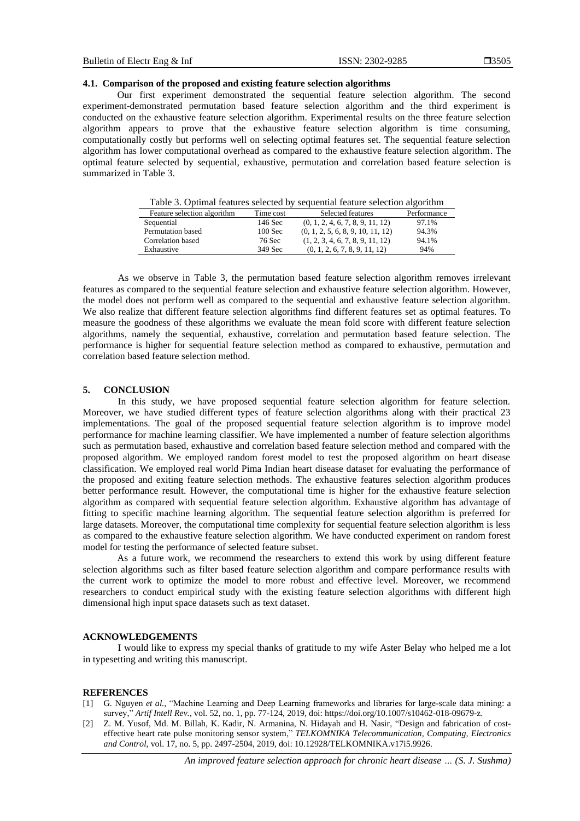#### **3505**

#### **4.1. Comparison of the proposed and existing feature selection algorithms**

Our first experiment demonstrated the sequential feature selection algorithm. The second experiment-demonstrated permutation based feature selection algorithm and the third experiment is conducted on the exhaustive feature selection algorithm. Experimental results on the three feature selection algorithm appears to prove that the exhaustive feature selection algorithm is time consuming, computationally costly but performs well on selecting optimal features set. The sequential feature selection algorithm has lower computational overhead as compared to the exhaustive feature selection algorithm. The optimal feature selected by sequential, exhaustive, permutation and correlation based feature selection is summarized in Table 3.

Table 3. Optimal features selected by sequential feature selection algorithm

| Feature selection algorithm | Time cost | Selected features                 | Performance |
|-----------------------------|-----------|-----------------------------------|-------------|
| Sequential                  | 146 Sec   | (0, 1, 2, 4, 6, 7, 8, 9, 11, 12)  | 97.1%       |
| Permutation based           | $100$ Sec | (0, 1, 2, 5, 6, 8, 9, 10, 11, 12) | 94.3%       |
| Correlation based           | 76 Sec    | (1, 2, 3, 4, 6, 7, 8, 9, 11, 12)  | 94.1%       |
| Exhaustive                  | 349 Sec   | (0, 1, 2, 6, 7, 8, 9, 11, 12)     | 94%         |

As we observe in Table 3, the permutation based feature selection algorithm removes irrelevant features as compared to the sequential feature selection and exhaustive feature selection algorithm. However, the model does not perform well as compared to the sequential and exhaustive feature selection algorithm. We also realize that different feature selection algorithms find different features set as optimal features. To measure the goodness of these algorithms we evaluate the mean fold score with different feature selection algorithms, namely the sequential, exhaustive, correlation and permutation based feature selection. The performance is higher for sequential feature selection method as compared to exhaustive, permutation and correlation based feature selection method.

# **5. CONCLUSION**

In this study, we have proposed sequential feature selection algorithm for feature selection. Moreover, we have studied different types of feature selection algorithms along with their practical 23 implementations. The goal of the proposed sequential feature selection algorithm is to improve model performance for machine learning classifier. We have implemented a number of feature selection algorithms such as permutation based, exhaustive and correlation based feature selection method and compared with the proposed algorithm. We employed random forest model to test the proposed algorithm on heart disease classification. We employed real world Pima Indian heart disease dataset for evaluating the performance of the proposed and exiting feature selection methods. The exhaustive features selection algorithm produces better performance result. However, the computational time is higher for the exhaustive feature selection algorithm as compared with sequential feature selection algorithm. Exhaustive algorithm has advantage of fitting to specific machine learning algorithm. The sequential feature selection algorithm is preferred for large datasets. Moreover, the computational time complexity for sequential feature selection algorithm is less as compared to the exhaustive feature selection algorithm. We have conducted experiment on random forest model for testing the performance of selected feature subset.

As a future work, we recommend the researchers to extend this work by using different feature selection algorithms such as filter based feature selection algorithm and compare performance results with the current work to optimize the model to more robust and effective level. Moreover, we recommend researchers to conduct empirical study with the existing feature selection algorithms with different high dimensional high input space datasets such as text dataset.

#### **ACKNOWLEDGEMENTS**

I would like to express my special thanks of gratitude to my wife Aster Belay who helped me a lot in typesetting and writing this manuscript.

#### **REFERENCES**

- [1] G. Nguyen *et al.,* "Machine Learning and Deep Learning frameworks and libraries for large-scale data mining: a survey," *Artif Intell Rev.*, vol. 52, no. 1, pp. 77-124, 2019, doi: https://doi.org/10.1007/s10462-018-09679-z.
- [2] Z. M. Yusof, Md. M. Billah, K. Kadir, N. Armanina, N. Hidayah and H. Nasir*,* "Design and fabrication of costeffective heart rate pulse monitoring sensor system," *TELKOMNIKA Telecommunication, Computing, Electronics and Control*, vol. 17, no. 5, pp. 2497-2504, 2019, doi: 10.12928/TELKOMNIKA.v17i5.9926.